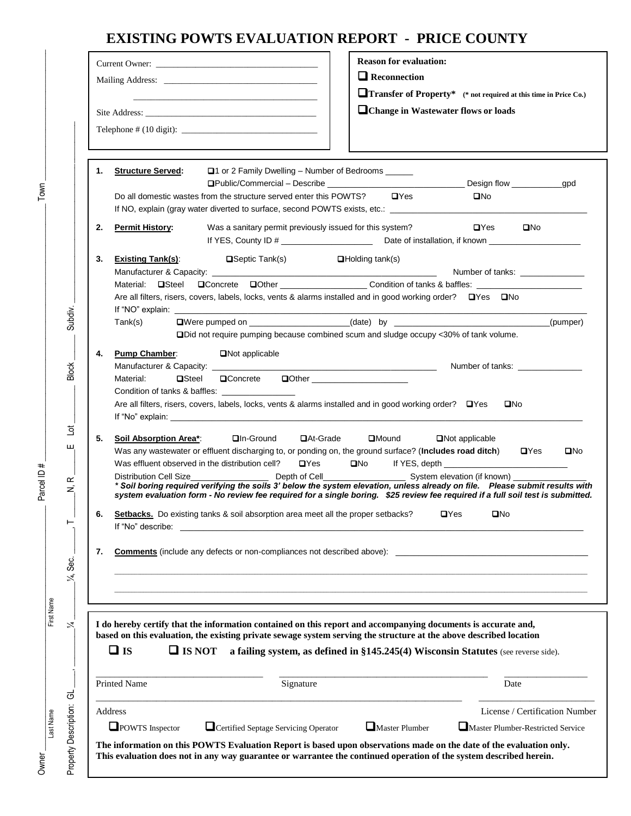## **EXISTING POWTS EVALUATION REPORT - PRICE COUNTY**

| □ Change in Wastewater flows or loads<br><b>Structure Served:</b><br>$\Box$ 1 or 2 Family Dwelling – Number of Bedrooms<br>1.<br>Do all domestic wastes from the structure served enter this POWTS?<br>$\Box$ Yes<br>$\square$ No<br>If NO, explain (gray water diverted to surface, second POWTS exists, etc.: ___________________________________<br>Was a sanitary permit previously issued for this system?<br>$\blacksquare$ Yes<br>$\square$ No<br>2.<br><b>Permit History:</b><br>3.<br><b>Existing Tank(s):</b><br>$\blacksquare$ Septic Tank(s)<br>$\Box$ Holding tank(s)<br>Material: <b>On</b> Steel<br>Are all filters, risers, covers, labels, locks, vents & alarms installed and in good working order? $\Box$ Yes $\Box$ No<br>If "NO" explain:<br>DWere pumped on ____________________(date) by ______________________________(pumper)<br>Tank(s)<br><b>ODider hold require pumping because combined scum and sludge occupy &lt;30% of tank volume.</b><br><b>Pump Chamber:</b><br>4.<br><b>□</b> Not applicable<br>$\blacksquare$ Concrete<br><b>QOther</b> ______________________<br>Material:<br>$\blacksquare$ Steel<br>Condition of tanks & baffles: ___________________<br>Are all filters, risers, covers, labels, locks, vents & alarms installed and in good working order? $\Box$ Yes<br>$\square$ No<br><b>□</b> At-Grade<br>$\Box$ Mound<br>5.<br>Soil Absorption Area*<br>$\Box$ In-Ground<br><b>□</b> Not applicable<br>Was any wastewater or effluent discharging to, or ponding on, the ground surface? (Includes road ditch) DYes<br>$\Box$ Yes<br>Was effluent observed in the distribution cell?<br>* Soil boring required verifying the soils 3' below the system elevation, unless already on file. Please submit results with<br>system evaluation form - No review fee required for a single boring. \$25 review fee required if a full soil test is submitted.<br>Setbacks. Do existing tanks & soil absorption area meet all the proper setbacks?<br>$\mathbf{D}$ Yes<br>$\square$ No<br>6.<br>If "No" describe:<br><b>Comments</b> (include any defects or non-compliances not described above):<br>7.<br>$\Box$ is<br>$\Box$ IS NOT<br>a failing system, as defined in §145.245(4) Wisconsin Statutes (see reverse side).<br>Signature<br>Date<br>Address |  | $\Box$ Reconnection<br><b>Transfer of Property*</b> (* not required at this time in Price Co.) |
|-------------------------------------------------------------------------------------------------------------------------------------------------------------------------------------------------------------------------------------------------------------------------------------------------------------------------------------------------------------------------------------------------------------------------------------------------------------------------------------------------------------------------------------------------------------------------------------------------------------------------------------------------------------------------------------------------------------------------------------------------------------------------------------------------------------------------------------------------------------------------------------------------------------------------------------------------------------------------------------------------------------------------------------------------------------------------------------------------------------------------------------------------------------------------------------------------------------------------------------------------------------------------------------------------------------------------------------------------------------------------------------------------------------------------------------------------------------------------------------------------------------------------------------------------------------------------------------------------------------------------------------------------------------------------------------------------------------------------------------------------------------------------------------------------------------------------------------------------------------------------------------------------------------------------------------------------------------------------------------------------------------------------------------------------------------------------------------------------------------------------------------------------------------------------------------------------------------------------------------------------------------------------------------------------------|--|------------------------------------------------------------------------------------------------|
| based on this evaluation, the existing private sewage system serving the structure at the above described location<br><b>Printed Name</b>                                                                                                                                                                                                                                                                                                                                                                                                                                                                                                                                                                                                                                                                                                                                                                                                                                                                                                                                                                                                                                                                                                                                                                                                                                                                                                                                                                                                                                                                                                                                                                                                                                                                                                                                                                                                                                                                                                                                                                                                                                                                                                                                                             |  |                                                                                                |
| I do hereby certify that the information contained on this report and accompanying documents is accurate and,                                                                                                                                                                                                                                                                                                                                                                                                                                                                                                                                                                                                                                                                                                                                                                                                                                                                                                                                                                                                                                                                                                                                                                                                                                                                                                                                                                                                                                                                                                                                                                                                                                                                                                                                                                                                                                                                                                                                                                                                                                                                                                                                                                                         |  |                                                                                                |
|                                                                                                                                                                                                                                                                                                                                                                                                                                                                                                                                                                                                                                                                                                                                                                                                                                                                                                                                                                                                                                                                                                                                                                                                                                                                                                                                                                                                                                                                                                                                                                                                                                                                                                                                                                                                                                                                                                                                                                                                                                                                                                                                                                                                                                                                                                       |  |                                                                                                |
|                                                                                                                                                                                                                                                                                                                                                                                                                                                                                                                                                                                                                                                                                                                                                                                                                                                                                                                                                                                                                                                                                                                                                                                                                                                                                                                                                                                                                                                                                                                                                                                                                                                                                                                                                                                                                                                                                                                                                                                                                                                                                                                                                                                                                                                                                                       |  | Number of tanks: _______________                                                               |
|                                                                                                                                                                                                                                                                                                                                                                                                                                                                                                                                                                                                                                                                                                                                                                                                                                                                                                                                                                                                                                                                                                                                                                                                                                                                                                                                                                                                                                                                                                                                                                                                                                                                                                                                                                                                                                                                                                                                                                                                                                                                                                                                                                                                                                                                                                       |  | Number of tanks: ________________                                                              |
|                                                                                                                                                                                                                                                                                                                                                                                                                                                                                                                                                                                                                                                                                                                                                                                                                                                                                                                                                                                                                                                                                                                                                                                                                                                                                                                                                                                                                                                                                                                                                                                                                                                                                                                                                                                                                                                                                                                                                                                                                                                                                                                                                                                                                                                                                                       |  | $\square$ No                                                                                   |
|                                                                                                                                                                                                                                                                                                                                                                                                                                                                                                                                                                                                                                                                                                                                                                                                                                                                                                                                                                                                                                                                                                                                                                                                                                                                                                                                                                                                                                                                                                                                                                                                                                                                                                                                                                                                                                                                                                                                                                                                                                                                                                                                                                                                                                                                                                       |  |                                                                                                |
|                                                                                                                                                                                                                                                                                                                                                                                                                                                                                                                                                                                                                                                                                                                                                                                                                                                                                                                                                                                                                                                                                                                                                                                                                                                                                                                                                                                                                                                                                                                                                                                                                                                                                                                                                                                                                                                                                                                                                                                                                                                                                                                                                                                                                                                                                                       |  |                                                                                                |
|                                                                                                                                                                                                                                                                                                                                                                                                                                                                                                                                                                                                                                                                                                                                                                                                                                                                                                                                                                                                                                                                                                                                                                                                                                                                                                                                                                                                                                                                                                                                                                                                                                                                                                                                                                                                                                                                                                                                                                                                                                                                                                                                                                                                                                                                                                       |  |                                                                                                |
|                                                                                                                                                                                                                                                                                                                                                                                                                                                                                                                                                                                                                                                                                                                                                                                                                                                                                                                                                                                                                                                                                                                                                                                                                                                                                                                                                                                                                                                                                                                                                                                                                                                                                                                                                                                                                                                                                                                                                                                                                                                                                                                                                                                                                                                                                                       |  |                                                                                                |
| POWTS Inspector<br>Certified Septage Servicing Operator<br>Master Plumber                                                                                                                                                                                                                                                                                                                                                                                                                                                                                                                                                                                                                                                                                                                                                                                                                                                                                                                                                                                                                                                                                                                                                                                                                                                                                                                                                                                                                                                                                                                                                                                                                                                                                                                                                                                                                                                                                                                                                                                                                                                                                                                                                                                                                             |  | License / Certification Number<br>Master Plumber-Restricted Service                            |

 $\overline{O}$ wner  $\frac{1}{\text{cstName}}$  First Name First Name Parcel ID #  $\frac{1}{\text{cst Name}}$ 

Parcel ID #

First Name

Last Name

Owner\_

 $Town_1$